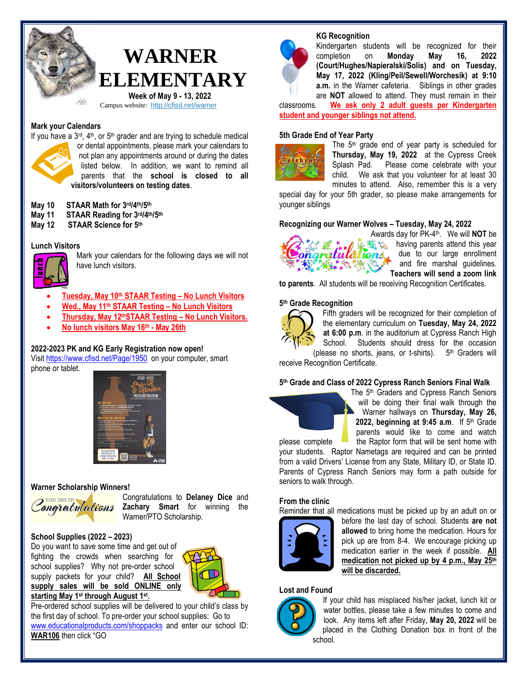## **WARNER ELEMENTARY Week of May 9 - 13, 2022**

Campus website: <http://cfisd.net/warner>

#### **Mark your Calendars**



If you have a  $3rd$ ,  $4th$ , or  $5th$  grader and are trying to schedule medical or dental appointments, please mark your calendars to not plan any appointments around or during the dates listed below. In addition, we want to remind all parents that the **school is closed to all visitors/volunteers on testing dates**.

#### **May 10 STAAR Math for 3 rd/4th/5th**

- **May 11 STAAR Reading for 3 rd/4th/5 th**
- **May 12 STAAR Science for 5th**

#### **Lunch Visitors**



Mark your calendars for the following days we will not have lunch visitors.

- **Tuesday, May 10th STAAR Testing – No Lunch Visitors**
- **Wed., May 11th STAAR Testing – No Lunch Visitors**
- **Thursday, May 12thSTAAR Testing – No Lunch Visitors.**
- **No lunch visitors May 16th - May 26th**

#### **2022-2023 PK and KG Early Registration now open!**

Visit <https://www.cfisd.net/Page/1950> on your computer, smart phone or tablet.



#### **Warner Scholarship Winners!**



Congratulations to **Delaney Dice** and *Zongratulations* Zachary Smart for winning the Warner/PTO Scholarship.

#### **School Supplies (2022 – 2023)**

Do you want to save some time and get out of fighting the crowds when searching for school supplies? Why not pre-order school supply packets for your child? **All School supply sales will be sold ONLINE only starting May 1 st through August 1st .** 



Pre-ordered school supplies will be delivered to your child's class by the first day of school. To pre-order your school supplies: Go to [www.educationalproducts.com/shoppacks](http://www.educationalproducts.com/shoppacks) and enter our school ID: **WAR106** then click "GO

#### **KG Recognition**



Kindergarten students will be recognized for their completion on **Monday May 16, 2022 (Court/Hughes/Napieralski/Solis) and on Tuesday, May 17, 2022 (Kling/Peil/Sewell/Worchesik) at 9:10 a.m.** in the Warner cafeteria. Siblings in other grades are **NOT** allowed to attend. They must remain in their

classrooms. **We ask only 2 adult guests per Kindergarten student and younger siblings not attend.**

#### **5th Grade End of Year Party**



The 5<sup>th</sup> grade end of year party is scheduled for **Thursday, May 19, 2022** at the Cypress Creek Splash Pad. Please come celebrate with your child. We ask that you volunteer for at least 30 minutes to attend. Also, remember this is a very

special day for your 5th grader, so please make arrangements for younger siblings

#### **Recognizing our Warner Wolves – Tuesday, May 24, 2022**



Awards day for PK-4 th. We will **NOT** be the two having parents attend this vear atulations, due to our large enrollment and fire marshal guidelines. **Teachers will send a zoom link** 

**to parents**. All students will be receiving Recognition Certificates.

#### **5 th Grade Recognition**



Fifth graders will be recognized for their completion of the elementary curriculum on **Tuesday, May 24, 2022 at 6:00 p.m**. in the auditorium at Cypress Ranch High School. Students should dress for the occasion (please no shorts, jeans, or t-shirts). 5th Graders will

receive Recognition Certificate.

#### **5 th Grade and Class of 2022 Cypress Ranch Seniors Final Walk**



The 5th Graders and Cypress Ranch Seniors will be doing their final walk through the Warner hallways on **Thursday, May 26,**  2022, beginning at 9:45 a.m. If 5<sup>th</sup> Grade parents would like to come and watch

please complete the Raptor form that will be sent home with your students. Raptor Nametags are required and can be printed from a valid Drivers' License from any State, Military ID, or State ID. Parents of Cypress Ranch Seniors may form a path outside for seniors to walk through.

#### **From the clinic**

Reminder that all medications must be picked up by an adult on or



before the last day of school. Students **are not allowed** to bring home the medication. Hours for pick up are from 8-4. We encourage picking up medication earlier in the week if possible. **All medication not picked up by 4 p.m., May 25 th will be discarded.** 

#### **Lost and Found**



If your child has misplaced his/her jacket, lunch kit or water bottles, please take a few minutes to come and look. Any items left after Friday, **May 20, 2022** will be placed in the Clothing Donation box in front of the school.